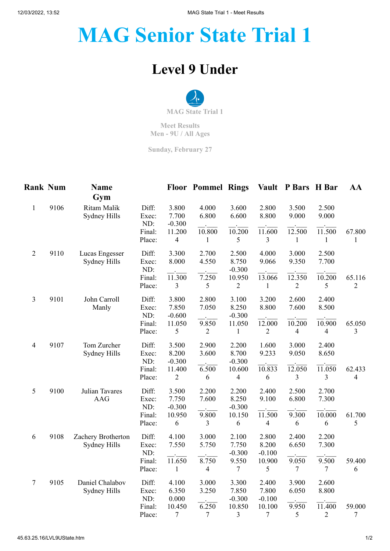## **MAG Senior State Trial 1**

## **Level 9 Under**



**Meet Results Men - 9U / All Ages**

**Sunday, February 27**

| <b>Rank Num</b> |      | <b>Name</b><br>Gym                 |                       |                                    | <b>Floor Pommel Rings</b> |                            | <b>Vault</b>               | P Bars H Bar             |                          | AA                       |
|-----------------|------|------------------------------------|-----------------------|------------------------------------|---------------------------|----------------------------|----------------------------|--------------------------|--------------------------|--------------------------|
| $\mathbf{1}$    | 9106 | Ritam Malik<br>Sydney Hills        | Diff:<br>Exec:<br>ND: | 3.800<br>7.700<br>$-0.300$         | 4.000<br>6.800            | 3.600<br>6.600             | 2.800<br>8.800             | 3.500<br>9.000           | 2.500<br>9.000           |                          |
|                 |      |                                    | Final:<br>Place:      | 11.200<br>$\overline{\mathcal{A}}$ | 10.800<br>$\mathbf{1}$    | 10.200<br>5                | 11.600<br>3                | 12.500<br>$\mathbf{1}$   | 11.500<br>$\mathbf{1}$   | 67.800<br>$\mathbf{1}$   |
| $\overline{2}$  | 9110 | Lucas Engesser<br>Sydney Hills     | Diff:<br>Exec:<br>ND: | 3.300<br>8.000                     | 2.700<br>4.550            | 2.500<br>8.750<br>$-0.300$ | 4.000<br>9.066             | 3.000<br>9.350           | 2.500<br>7.700           |                          |
|                 |      |                                    | Final:<br>Place:      | 11.300<br>3                        | 7.250<br>5                | 10.950<br>$\overline{c}$   | 13.066<br>1                | 12.350<br>$\overline{2}$ | 10.200<br>5              | 65.116<br>$\overline{2}$ |
| 3               | 9101 | John Carroll<br>Manly              | Diff:<br>Exec:<br>ND: | 3.800<br>7.850<br>$-0.600$         | 2.800<br>7.050            | 3.100<br>8.250<br>$-0.300$ | 3.200<br>8.800             | 2.600<br>7.600           | 2.400<br>8.500           |                          |
|                 |      |                                    | Final:<br>Place:      | 11.050<br>5                        | 9.850<br>2                | 11.050<br>$\mathbf{1}$     | 12.000<br>2                | 10.200<br>$\overline{4}$ | 10.900<br>4              | 65.050<br>3              |
| 4               | 9107 | Tom Zurcher<br>Sydney Hills        | Diff:<br>Exec:<br>ND: | 3.500<br>8.200<br>$-0.300$         | 2.900<br>3.600            | 2.200<br>8.700<br>$-0.300$ | 1.600<br>9.233             | 3.000<br>9.050           | 2.400<br>8.650           |                          |
|                 |      |                                    | Final:<br>Place:      | 11.400<br>$\mathbf{2}$             | 6.500<br>6                | 10.600<br>4                | 10.833<br>6                | 12.050<br>3              | 11.050<br>3              | 62.433<br>4              |
| 5               | 9100 | Julian Tavares<br><b>AAG</b>       | Diff:<br>Exec:<br>ND: | 3.500<br>7.750<br>$-0.300$         | 2.200<br>7.600            | 2.200<br>8.250<br>$-0.300$ | 2.400<br>9.100             | 2.500<br>6.800           | 2.700<br>7.300           |                          |
|                 |      |                                    | Final:<br>Place:      | 10.950<br>6                        | 9.800<br>3                | 10.150<br>6                | 11.500<br>4                | 9.300<br>6               | 10.000<br>6              | 61.700<br>5              |
| 6               | 9108 | Zachery Brotherton<br>Sydney Hills | Diff:<br>Exec:<br>ND: | 4.100<br>7.550                     | 3.000<br>5.750            | 2.100<br>7.750<br>$-0.300$ | 2.800<br>8.200<br>$-0.100$ | 2.400<br>6.650           | 2.200<br>7.300           |                          |
|                 |      |                                    | Final:<br>Place:      | 11.650<br>$\mathbf{1}$             | 8.750<br>$\overline{4}$   | 9.550<br>$\tau$            | 10.900<br>5                | 9.050<br>$\tau$          | 9.500<br>$\tau$          | 59.400<br>6              |
| $\tau$          | 9105 | Daniel Chalabov<br>Sydney Hills    | Diff:<br>Exec:<br>ND: | 4.100<br>6.350<br>0.000            | 3.000<br>3.250            | 3.300<br>7.850<br>$-0.300$ | 2.400<br>7.800<br>$-0.100$ | 3.900<br>6.050           | 2.600<br>8.800           |                          |
|                 |      |                                    | Final:<br>Place:      | 10.450<br>$\tau$                   | 6.250<br>$\tau$           | 10.850<br>3                | 10.100<br>$\boldsymbol{7}$ | 9.950<br>5               | 11.400<br>$\overline{c}$ | 59.000<br>$\overline{7}$ |